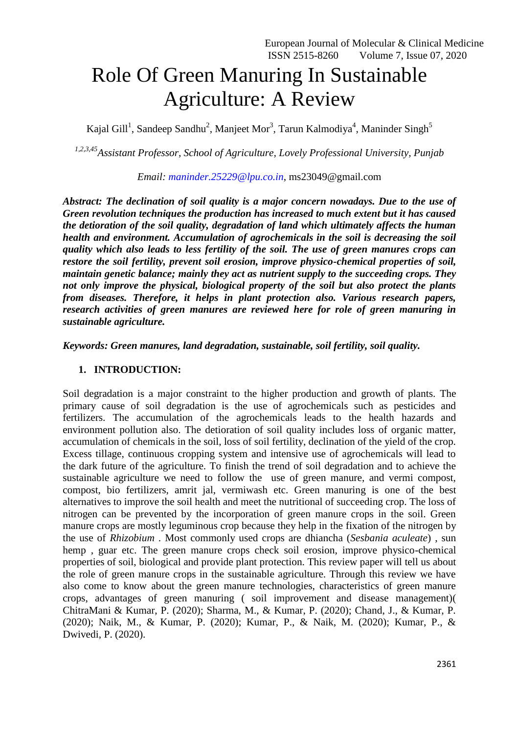# Role Of Green Manuring In Sustainable Agriculture: A Review

Kajal Gill<sup>1</sup>, Sandeep Sandhu<sup>2</sup>, Manjeet Mor<sup>3</sup>, Tarun Kalmodiya<sup>4</sup>, Maninder Singh<sup>5</sup>

*1,2,3,45Assistant Professor, School of Agriculture, Lovely Professional University, Punjab*

*Email: [maninder.25229@lpu.co.in](mailto:maninder.25229@lpu.co.in)*, ms23049@gmail.com

*Abstract: The declination of soil quality is a major concern nowadays. Due to the use of Green revolution techniques the production has increased to much extent but it has caused the detioration of the soil quality, degradation of land which ultimately affects the human health and environment. Accumulation of agrochemicals in the soil is decreasing the soil quality which also leads to less fertility of the soil. The use of green manures crops can restore the soil fertility, prevent soil erosion, improve physico-chemical properties of soil, maintain genetic balance; mainly they act as nutrient supply to the succeeding crops. They not only improve the physical, biological property of the soil but also protect the plants from diseases. Therefore, it helps in plant protection also. Various research papers, research activities of green manures are reviewed here for role of green manuring in sustainable agriculture.* 

*Keywords: Green manures, land degradation, sustainable, soil fertility, soil quality.* 

## **1. INTRODUCTION:**

Soil degradation is a major constraint to the higher production and growth of plants. The primary cause of soil degradation is the use of agrochemicals such as pesticides and fertilizers. The accumulation of the agrochemicals leads to the health hazards and environment pollution also. The detioration of soil quality includes loss of organic matter, accumulation of chemicals in the soil, loss of soil fertility, declination of the yield of the crop. Excess tillage, continuous cropping system and intensive use of agrochemicals will lead to the dark future of the agriculture. To finish the trend of soil degradation and to achieve the sustainable agriculture we need to follow the use of green manure, and vermi compost, compost, bio fertilizers, amrit jal, vermiwash etc. Green manuring is one of the best alternatives to improve the soil health and meet the nutritional of succeeding crop. The loss of nitrogen can be prevented by the incorporation of green manure crops in the soil. Green manure crops are mostly leguminous crop because they help in the fixation of the nitrogen by the use of *Rhizobium* . Most commonly used crops are dhiancha (*Sesbania aculeate*) , sun hemp , guar etc. The green manure crops check soil erosion, improve physico-chemical properties of soil, biological and provide plant protection. This review paper will tell us about the role of green manure crops in the sustainable agriculture. Through this review we have also come to know about the green manure technologies, characteristics of green manure crops, advantages of green manuring ( soil improvement and disease management)( ChitraMani & Kumar, P. (2020); Sharma, M., & Kumar, P. (2020); Chand, J., & Kumar, P. (2020); Naik, M., & Kumar, P. (2020); Kumar, P., & Naik, M. (2020); Kumar, P., & Dwivedi, P. (2020).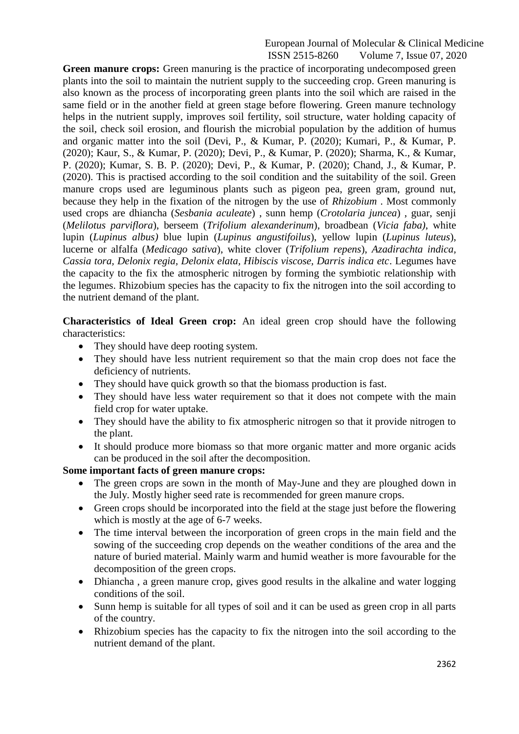#### European Journal of Molecular & Clinical Medicine ISSN 2515-8260 Volume 7, Issue 07, 2020

**Green manure crops:** Green manuring is the practice of incorporating undecomposed green plants into the soil to maintain the nutrient supply to the succeeding crop. Green manuring is also known as the process of incorporating green plants into the soil which are raised in the same field or in the another field at green stage before flowering. Green manure technology helps in the nutrient supply, improves soil fertility, soil structure, water holding capacity of the soil, check soil erosion, and flourish the microbial population by the addition of humus and organic matter into the soil (Devi, P., & Kumar, P. (2020); Kumari, P., & Kumar, P. (2020); Kaur, S., & Kumar, P. (2020); Devi, P., & Kumar, P. (2020); Sharma, K., & Kumar, P. (2020); Kumar, S. B. P. (2020); Devi, P., & Kumar, P. (2020); Chand, J., & Kumar, P. (2020). This is practised according to the soil condition and the suitability of the soil. Green manure crops used are leguminous plants such as pigeon pea, green gram, ground nut, because they help in the fixation of the nitrogen by the use of *Rhizobium* . Most commonly used crops are dhiancha (*Sesbania aculeate*) , sunn hemp (*Crotolaria juncea*) , guar, senji (*Melilotus parviflora*), berseem (*Trifolium alexanderinum*), broadbean (*Vicia faba)*, white lupin (*Lupinus albus)* blue lupin (*Lupinus angustifoilus*), yellow lupin (*Lupinus luteus*), lucerne or alfalfa (*Medicago sativa*), white clover (*Trifolium repens*), *Azadirachta indica, Cassia tora, Delonix regia, Delonix elata, Hibiscis viscose, Darris indica etc*. Legumes have the capacity to the fix the atmospheric nitrogen by forming the symbiotic relationship with the legumes. Rhizobium species has the capacity to fix the nitrogen into the soil according to the nutrient demand of the plant.

**Characteristics of Ideal Green crop:** An ideal green crop should have the following characteristics:

- They should have deep rooting system.
- They should have less nutrient requirement so that the main crop does not face the deficiency of nutrients.
- They should have quick growth so that the biomass production is fast.
- They should have less water requirement so that it does not compete with the main field crop for water uptake.
- They should have the ability to fix atmospheric nitrogen so that it provide nitrogen to the plant.
- It should produce more biomass so that more organic matter and more organic acids can be produced in the soil after the decomposition.

## **Some important facts of green manure crops:**

- The green crops are sown in the month of May-June and they are ploughed down in the July. Mostly higher seed rate is recommended for green manure crops.
- Green crops should be incorporated into the field at the stage just before the flowering which is mostly at the age of 6-7 weeks.
- The time interval between the incorporation of green crops in the main field and the sowing of the succeeding crop depends on the weather conditions of the area and the nature of buried material. Mainly warm and humid weather is more favourable for the decomposition of the green crops.
- Dhiancha, a green manure crop, gives good results in the alkaline and water logging conditions of the soil.
- Sunn hemp is suitable for all types of soil and it can be used as green crop in all parts of the country.
- Rhizobium species has the capacity to fix the nitrogen into the soil according to the nutrient demand of the plant.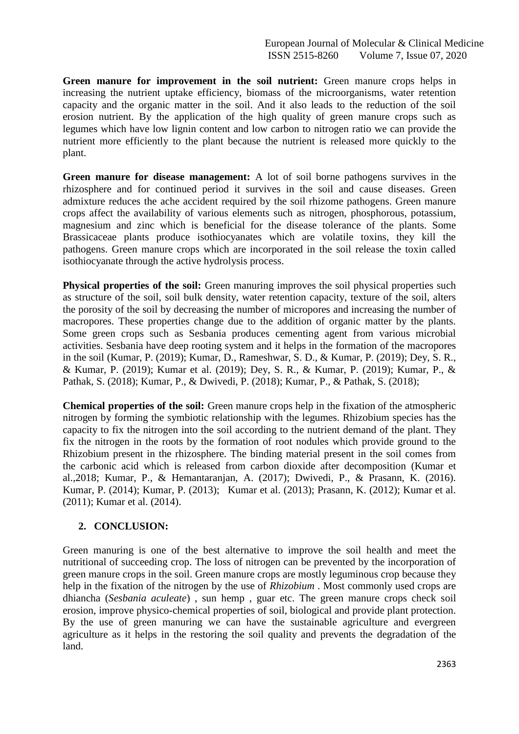**Green manure for improvement in the soil nutrient:** Green manure crops helps in increasing the nutrient uptake efficiency, biomass of the microorganisms, water retention capacity and the organic matter in the soil. And it also leads to the reduction of the soil erosion nutrient. By the application of the high quality of green manure crops such as legumes which have low lignin content and low carbon to nitrogen ratio we can provide the nutrient more efficiently to the plant because the nutrient is released more quickly to the plant.

**Green manure for disease management:** A lot of soil borne pathogens survives in the rhizosphere and for continued period it survives in the soil and cause diseases. Green admixture reduces the ache accident required by the soil rhizome pathogens. Green manure crops affect the availability of various elements such as nitrogen, phosphorous, potassium, magnesium and zinc which is beneficial for the disease tolerance of the plants. Some Brassicaceae plants produce isothiocyanates which are volatile toxins, they kill the pathogens. Green manure crops which are incorporated in the soil release the toxin called isothiocyanate through the active hydrolysis process.

**Physical properties of the soil:** Green manuring improves the soil physical properties such as structure of the soil, soil bulk density, water retention capacity, texture of the soil, alters the porosity of the soil by decreasing the number of micropores and increasing the number of macropores. These properties change due to the addition of organic matter by the plants. Some green crops such as Sesbania produces cementing agent from various microbial activities. Sesbania have deep rooting system and it helps in the formation of the macropores in the soil (Kumar, P. (2019); Kumar, D., Rameshwar, S. D., & Kumar, P. (2019); Dey, S. R., & Kumar, P. (2019); Kumar et al. (2019); Dey, S. R., & Kumar, P. (2019); Kumar, P., & Pathak, S. (2018); Kumar, P., & Dwivedi, P. (2018); Kumar, P., & Pathak, S. (2018);

**Chemical properties of the soil:** Green manure crops help in the fixation of the atmospheric nitrogen by forming the symbiotic relationship with the legumes. Rhizobium species has the capacity to fix the nitrogen into the soil according to the nutrient demand of the plant. They fix the nitrogen in the roots by the formation of root nodules which provide ground to the Rhizobium present in the rhizosphere. The binding material present in the soil comes from the carbonic acid which is released from carbon dioxide after decomposition (Kumar et al.,2018; Kumar, P., & Hemantaranjan, A. (2017); Dwivedi, P., & Prasann, K. (2016). Kumar, P. (2014); Kumar, P. (2013); Kumar et al. (2013); Prasann, K. (2012); Kumar et al. (2011); Kumar et al. (2014).

# **2. CONCLUSION:**

Green manuring is one of the best alternative to improve the soil health and meet the nutritional of succeeding crop. The loss of nitrogen can be prevented by the incorporation of green manure crops in the soil. Green manure crops are mostly leguminous crop because they help in the fixation of the nitrogen by the use of *Rhizobium* . Most commonly used crops are dhiancha (*Sesbania aculeate*) , sun hemp , guar etc. The green manure crops check soil erosion, improve physico-chemical properties of soil, biological and provide plant protection. By the use of green manuring we can have the sustainable agriculture and evergreen agriculture as it helps in the restoring the soil quality and prevents the degradation of the land.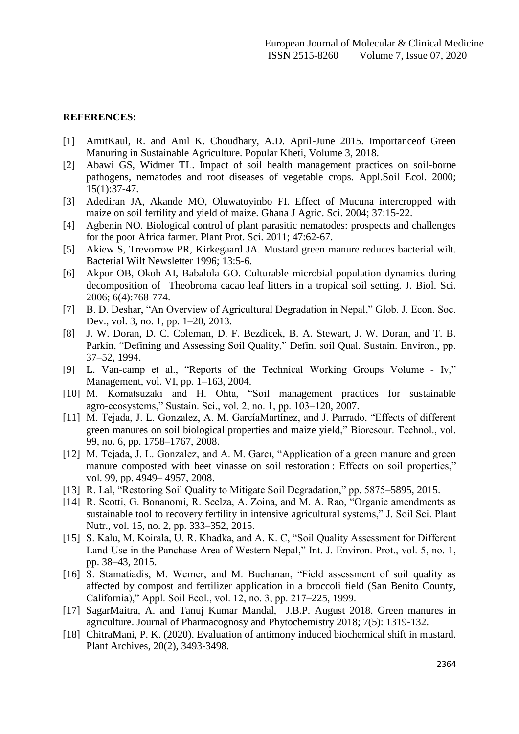### **REFERENCES:**

- [1] AmitKaul, R. and Anil K. Choudhary, A.D. April-June 2015. Importanceof Green Manuring in Sustainable Agriculture. Popular Kheti, Volume 3, 2018.
- [2] Abawi GS, Widmer TL. Impact of soil health management practices on soil-borne pathogens, nematodes and root diseases of vegetable crops. Appl.Soil Ecol. 2000; 15(1):37-47.
- [3] Adediran JA, Akande MO, Oluwatoyinbo FI. Effect of Mucuna intercropped with maize on soil fertility and yield of maize. Ghana J Agric. Sci. 2004; 37:15-22.
- [4] Agbenin NO. Biological control of plant parasitic nematodes: prospects and challenges for the poor Africa farmer. Plant Prot. Sci. 2011; 47:62-67.
- [5] Akiew S, Trevorrow PR, Kirkegaard JA. Mustard green manure reduces bacterial wilt. Bacterial Wilt Newsletter 1996; 13:5-6.
- [6] Akpor OB, Okoh AI, Babalola GO. Culturable microbial population dynamics during decomposition of Theobroma cacao leaf litters in a tropical soil setting. J. Biol. Sci. 2006; 6(4):768-774.
- [7] B. D. Deshar, "An Overview of Agricultural Degradation in Nepal," Glob. J. Econ. Soc. Dev., vol. 3, no. 1, pp. 1–20, 2013.
- [8] J. W. Doran, D. C. Coleman, D. F. Bezdicek, B. A. Stewart, J. W. Doran, and T. B. Parkin, "Defining and Assessing Soil Quality," Defin. soil Qual. Sustain. Environ., pp. 37–52, 1994.
- [9] L. Van-camp et al., "Reports of the Technical Working Groups Volume Iv," Management, vol. VI, pp. 1–163, 2004.
- [10] M. Komatsuzaki and H. Ohta, "Soil management practices for sustainable agro-ecosystems," Sustain. Sci., vol. 2, no. 1, pp. 103–120, 2007.
- [11] M. Tejada, J. L. Gonzalez, A. M. GarcíaMartínez, and J. Parrado, "Effects of different green manures on soil biological properties and maize yield," Bioresour. Technol., vol. 99, no. 6, pp. 1758–1767, 2008.
- [12] M. Tejada, J. L. Gonzalez, and A. M. Garcı, "Application of a green manure and green manure composted with beet vinasse on soil restoration : Effects on soil properties," vol. 99, pp. 4949– 4957, 2008.
- [13] R. Lal, "Restoring Soil Quality to Mitigate Soil Degradation," pp. 5875–5895, 2015.
- [14] R. Scotti, G. Bonanomi, R. Scelza, A. Zoina, and M. A. Rao, "Organic amendments as sustainable tool to recovery fertility in intensive agricultural systems," J. Soil Sci. Plant Nutr., vol. 15, no. 2, pp. 333–352, 2015.
- [15] S. Kalu, M. Koirala, U. R. Khadka, and A. K. C. "Soil Quality Assessment for Different Land Use in the Panchase Area of Western Nepal," Int. J. Environ. Prot., vol. 5, no. 1, pp. 38–43, 2015.
- [16] S. Stamatiadis, M. Werner, and M. Buchanan, "Field assessment of soil quality as affected by compost and fertilizer application in a broccoli field (San Benito County, California)," Appl. Soil Ecol., vol. 12, no. 3, pp. 217–225, 1999.
- [17] SagarMaitra, A. and Tanuj Kumar Mandal, J.B.P. August 2018. Green manures in agriculture. Journal of Pharmacognosy and Phytochemistry 2018; 7(5): 1319-132.
- [18] ChitraMani, P. K. (2020). Evaluation of antimony induced biochemical shift in mustard. Plant Archives, 20(2), 3493-3498.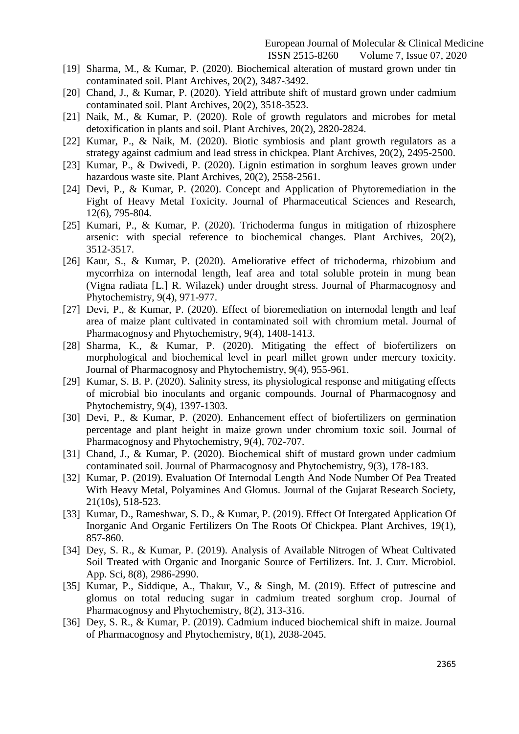European Journal of Molecular & Clinical Medicine

ISSN 2515-8260 Volume 7, Issue 07, 2020

- [19] Sharma, M., & Kumar, P. (2020). Biochemical alteration of mustard grown under tin contaminated soil. Plant Archives, 20(2), 3487-3492.
- [20] Chand, J., & Kumar, P. (2020). Yield attribute shift of mustard grown under cadmium contaminated soil. Plant Archives, 20(2), 3518-3523.
- [21] Naik, M., & Kumar, P. (2020). Role of growth regulators and microbes for metal detoxification in plants and soil. Plant Archives, 20(2), 2820-2824.
- [22] Kumar, P., & Naik, M. (2020). Biotic symbiosis and plant growth regulators as a strategy against cadmium and lead stress in chickpea. Plant Archives, 20(2), 2495-2500.
- [23] Kumar, P., & Dwivedi, P. (2020). Lignin estimation in sorghum leaves grown under hazardous waste site. Plant Archives, 20(2), 2558-2561.
- [24] Devi, P., & Kumar, P. (2020). Concept and Application of Phytoremediation in the Fight of Heavy Metal Toxicity. Journal of Pharmaceutical Sciences and Research, 12(6), 795-804.
- [25] Kumari, P., & Kumar, P. (2020). Trichoderma fungus in mitigation of rhizosphere arsenic: with special reference to biochemical changes. Plant Archives, 20(2), 3512-3517.
- [26] Kaur, S., & Kumar, P. (2020). Ameliorative effect of trichoderma, rhizobium and mycorrhiza on internodal length, leaf area and total soluble protein in mung bean (Vigna radiata [L.] R. Wilazek) under drought stress. Journal of Pharmacognosy and Phytochemistry, 9(4), 971-977.
- [27] Devi, P., & Kumar, P. (2020). Effect of bioremediation on internodal length and leaf area of maize plant cultivated in contaminated soil with chromium metal. Journal of Pharmacognosy and Phytochemistry, 9(4), 1408-1413.
- [28] Sharma, K., & Kumar, P. (2020). Mitigating the effect of biofertilizers on morphological and biochemical level in pearl millet grown under mercury toxicity. Journal of Pharmacognosy and Phytochemistry, 9(4), 955-961.
- [29] Kumar, S. B. P. (2020). Salinity stress, its physiological response and mitigating effects of microbial bio inoculants and organic compounds. Journal of Pharmacognosy and Phytochemistry, 9(4), 1397-1303.
- [30] Devi, P., & Kumar, P. (2020). Enhancement effect of biofertilizers on germination percentage and plant height in maize grown under chromium toxic soil. Journal of Pharmacognosy and Phytochemistry, 9(4), 702-707.
- [31] Chand, J., & Kumar, P. (2020). Biochemical shift of mustard grown under cadmium contaminated soil. Journal of Pharmacognosy and Phytochemistry, 9(3), 178-183.
- [32] Kumar, P. (2019). Evaluation Of Internodal Length And Node Number Of Pea Treated With Heavy Metal, Polyamines And Glomus. Journal of the Gujarat Research Society, 21(10s), 518-523.
- [33] Kumar, D., Rameshwar, S. D., & Kumar, P. (2019). Effect Of Intergated Application Of Inorganic And Organic Fertilizers On The Roots Of Chickpea. Plant Archives, 19(1), 857-860.
- [34] Dey, S. R., & Kumar, P. (2019). Analysis of Available Nitrogen of Wheat Cultivated Soil Treated with Organic and Inorganic Source of Fertilizers. Int. J. Curr. Microbiol. App. Sci, 8(8), 2986-2990.
- [35] Kumar, P., Siddique, A., Thakur, V., & Singh, M. (2019). Effect of putrescine and glomus on total reducing sugar in cadmium treated sorghum crop. Journal of Pharmacognosy and Phytochemistry, 8(2), 313-316.
- [36] Dey, S. R., & Kumar, P. (2019). Cadmium induced biochemical shift in maize. Journal of Pharmacognosy and Phytochemistry, 8(1), 2038-2045.